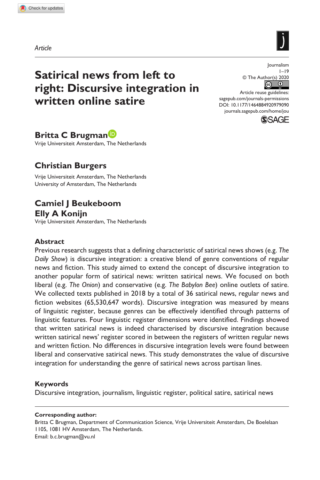**9790[90](http://crossmark.crossref.org/dialog/?doi=10.1177%2F1464884920979090&domain=pdf&date_stamp=2020-12-10)**JOU0010.1177/1464884920979090Journalism**Brugman et al.**

*Article*



Journalism  $1 - 19$ 

© The Author(s) 2020  $\boxed{6}$ 

DOI: 10.1177/1464884920979090 Article reuse guidelines: [sagepub.com/journals-permissions](https://uk.sagepub.com/en-gb/journals-permissions) [journals.sagepub.com/home/jou](https://journals.sagepub.com/home/jou)



## **Britta C Brugman**

Vrije Universiteit Amsterdam, The Netherlands

# **Christian Burgers**

Vrije Universiteit Amsterdam, The Netherlands University of Amsterdam, The Netherlands

# **Camiel J Beukeboom Elly A Konijn**

Vrije Universiteit Amsterdam, The Netherlands

### **Abstract**

Previous research suggests that a defining characteristic of satirical news shows (e.g. *The Daily Show*) is discursive integration: a creative blend of genre conventions of regular news and fiction. This study aimed to extend the concept of discursive integration to another popular form of satirical news: written satirical news. We focused on both liberal (e.g. *The Onion*) and conservative (e.g. *The Babylon Bee*) online outlets of satire. We collected texts published in 2018 by a total of 36 satirical news, regular news and fiction websites (65,530,647 words). Discursive integration was measured by means of linguistic register, because genres can be effectively identified through patterns of linguistic features. Four linguistic register dimensions were identified. Findings showed that written satirical news is indeed characterised by discursive integration because written satirical news' register scored in between the registers of written regular news and written fiction. No differences in discursive integration levels were found between liberal and conservative satirical news. This study demonstrates the value of discursive integration for understanding the genre of satirical news across partisan lines.

### **Keywords**

Discursive integration, journalism, linguistic register, political satire, satirical news

#### **Corresponding author:**

Britta C Brugman, Department of Communication Science, Vrije Universiteit Amsterdam, De Boelelaan 1105, 1081 HV Amsterdam, The Netherlands. Email: [b.c.brugman@vu.nl](mailto:b.c.brugman@vu.nl)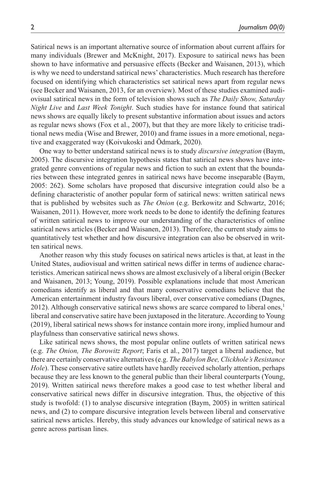Satirical news is an important alternative source of information about current affairs for many individuals (Brewer and McKnight, 2017). Exposure to satirical news has been shown to have informative and persuasive effects (Becker and Waisanen, 2013), which is why we need to understand satirical news' characteristics. Much research has therefore focused on identifying which characteristics set satirical news apart from regular news (see Becker and Waisanen, 2013, for an overview). Most of these studies examined audiovisual satirical news in the form of television shows such as *The Daily Show, Saturday Night Live* and *Last Week Tonight*. Such studies have for instance found that satirical news shows are equally likely to present substantive information about issues and actors as regular news shows (Fox et al., 2007), but that they are more likely to criticise traditional news media (Wise and Brewer, 2010) and frame issues in a more emotional, negative and exaggerated way (Koivukoski and Ödmark, 2020).

One way to better understand satirical news is to study *discursive integration* (Baym, 2005). The discursive integration hypothesis states that satirical news shows have integrated genre conventions of regular news and fiction to such an extent that the boundaries between these integrated genres in satirical news have become inseparable (Baym, 2005: 262). Some scholars have proposed that discursive integration could also be a defining characteristic of another popular form of satirical news: written satirical news that is published by websites such as *The Onion* (e.g. Berkowitz and Schwartz, 2016; Waisanen, 2011). However, more work needs to be done to identify the defining features of written satirical news to improve our understanding of the characteristics of online satirical news articles (Becker and Waisanen, 2013). Therefore, the current study aims to quantitatively test whether and how discursive integration can also be observed in written satirical news.

Another reason why this study focuses on satirical news articles is that, at least in the United States, audiovisual and written satirical news differ in terms of audience characteristics. American satirical news shows are almost exclusively of a liberal origin (Becker and Waisanen, 2013; Young, 2019). Possible explanations include that most American comedians identify as liberal and that many conservative comedians believe that the American entertainment industry favours liberal, over conservative comedians (Dagnes, 2012). Although conservative satirical news shows are scarce compared to liberal ones, $<sup>1</sup>$ </sup> liberal and conservative satire have been juxtaposed in the literature. According to Young (2019), liberal satirical news shows for instance contain more irony, implied humour and playfulness than conservative satirical news shows.

Like satirical news shows, the most popular online outlets of written satirical news (e.g. *The Onion, The Borowitz Report*; Faris et al., 2017) target a liberal audience, but there are certainly conservative alternatives (e.g. *The Babylon Bee, Clickhole's Resistance Hole*). These conservative satire outlets have hardly received scholarly attention, perhaps because they are less known to the general public than their liberal counterparts (Young, 2019). Written satirical news therefore makes a good case to test whether liberal and conservative satirical news differ in discursive integration. Thus, the objective of this study is twofold: (1) to analyse discursive integration (Baym, 2005) in written satirical news, and (2) to compare discursive integration levels between liberal and conservative satirical news articles. Hereby, this study advances our knowledge of satirical news as a genre across partisan lines.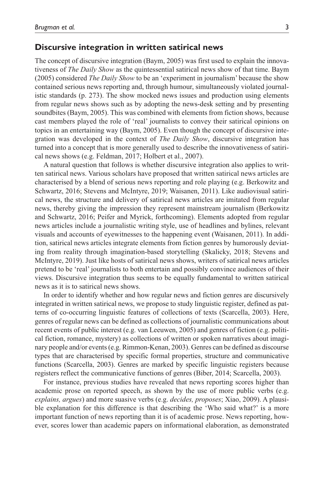### **Discursive integration in written satirical news**

The concept of discursive integration (Baym, 2005) was first used to explain the innovativeness of *The Daily Show* as the quintessential satirical news show of that time. Baym (2005) considered *The Daily Show* to be an 'experiment in journalism' because the show contained serious news reporting and, through humour, simultaneously violated journalistic standards (p. 273). The show mocked news issues and production using elements from regular news shows such as by adopting the news-desk setting and by presenting soundbites (Baym, 2005). This was combined with elements from fiction shows, because cast members played the role of 'real' journalists to convey their satirical opinions on topics in an entertaining way (Baym, 2005). Even though the concept of discursive integration was developed in the context of *The Daily Show*, discursive integration has turned into a concept that is more generally used to describe the innovativeness of satirical news shows (e.g. Feldman, 2017; Holbert et al., 2007).

A natural question that follows is whether discursive integration also applies to written satirical news. Various scholars have proposed that written satirical news articles are characterised by a blend of serious news reporting and role playing (e.g. Berkowitz and Schwartz, 2016; Stevens and McIntyre, 2019; Waisanen, 2011). Like audiovisual satirical news, the structure and delivery of satirical news articles are imitated from regular news, thereby giving the impression they represent mainstream journalism (Berkowitz and Schwartz, 2016; Peifer and Myrick, forthcoming). Elements adopted from regular news articles include a journalistic writing style, use of headlines and bylines, relevant visuals and accounts of eyewitnesses to the happening event (Waisanen, 2011). In addition, satirical news articles integrate elements from fiction genres by humorously deviating from reality through imagination-based storytelling (Skalicky, 2018; Stevens and McIntyre, 2019). Just like hosts of satirical news shows, writers of satirical news articles pretend to be 'real' journalists to both entertain and possibly convince audiences of their views. Discursive integration thus seems to be equally fundamental to written satirical news as it is to satirical news shows.

In order to identify whether and how regular news and fiction genres are discursively integrated in written satirical news, we propose to study linguistic register, defined as patterns of co-occurring linguistic features of collections of texts (Scarcella, 2003). Here, genres of regular news can be defined as collections of journalistic communications about recent events of public interest (e.g. van Leeuwen, 2005) and genres of fiction (e.g. political fiction, romance, mystery) as collections of written or spoken narratives about imaginary people and/or events (e.g. Rimmon-Kenan, 2003). Genres can be defined as discourse types that are characterised by specific formal properties, structure and communicative functions (Scarcella, 2003). Genres are marked by specific linguistic registers because registers reflect the communicative functions of genres (Biber, 2014; Scarcella, 2003).

For instance, previous studies have revealed that news reporting scores higher than academic prose on reported speech, as shown by the use of more public verbs (e.g. *explains, argues*) and more suasive verbs (e.g. *decides, proposes*; Xiao, 2009). A plausible explanation for this difference is that describing the 'Who said what?' is a more important function of news reporting than it is of academic prose. News reporting, however, scores lower than academic papers on informational elaboration, as demonstrated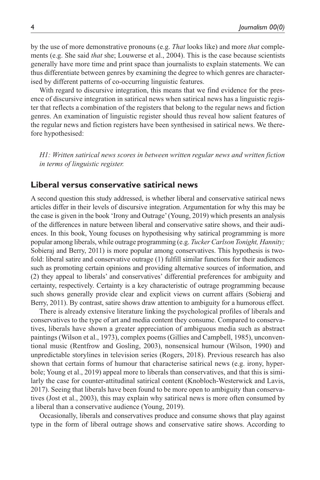by the use of more demonstrative pronouns (e.g. *That* looks like) and more *that* complements (e.g. She said *that* she; Louwerse et al., 2004). This is the case because scientists generally have more time and print space than journalists to explain statements. We can thus differentiate between genres by examining the degree to which genres are characterised by different patterns of co-occurring linguistic features.

With regard to discursive integration, this means that we find evidence for the presence of discursive integration in satirical news when satirical news has a linguistic register that reflects a combination of the registers that belong to the regular news and fiction genres. An examination of linguistic register should thus reveal how salient features of the regular news and fiction registers have been synthesised in satirical news. We therefore hypothesised:

*H1: Written satirical news scores in between written regular news and written fiction in terms of linguistic register.*

### **Liberal versus conservative satirical news**

A second question this study addressed, is whether liberal and conservative satirical news articles differ in their levels of discursive integration. Argumentation for why this may be the case is given in the book 'Irony and Outrage' (Young, 2019) which presents an analysis of the differences in nature between liberal and conservative satire shows, and their audiences. In this book, Young focuses on hypothesising why satirical programming is more popular among liberals, while outrage programming (e.g. *Tucker Carlson Tonight, Hannity;* Sobieraj and Berry, 2011) is more popular among conservatives. This hypothesis is twofold: liberal satire and conservative outrage (1) fulfill similar functions for their audiences such as promoting certain opinions and providing alternative sources of information, and (2) they appeal to liberals' and conservatives' differential preferences for ambiguity and certainty, respectively. Certainty is a key characteristic of outrage programming because such shows generally provide clear and explicit views on current affairs (Sobieraj and Berry, 2011). By contrast, satire shows draw attention to ambiguity for a humorous effect.

There is already extensive literature linking the psychological profiles of liberals and conservatives to the type of art and media content they consume. Compared to conservatives, liberals have shown a greater appreciation of ambiguous media such as abstract paintings (Wilson et al., 1973), complex poems (Gillies and Campbell, 1985), unconventional music (Rentfrow and Gosling, 2003), nonsensical humour (Wilson, 1990) and unpredictable storylines in television series (Rogers, 2018). Previous research has also shown that certain forms of humour that characterise satirical news (e.g. irony, hyperbole; Young et al., 2019) appeal more to liberals than conservatives, and that this is similarly the case for counter-attitudinal satirical content (Knobloch-Westerwick and Lavis, 2017). Seeing that liberals have been found to be more open to ambiguity than conservatives (Jost et al., 2003), this may explain why satirical news is more often consumed by a liberal than a conservative audience (Young, 2019).

Occasionally, liberals and conservatives produce and consume shows that play against type in the form of liberal outrage shows and conservative satire shows. According to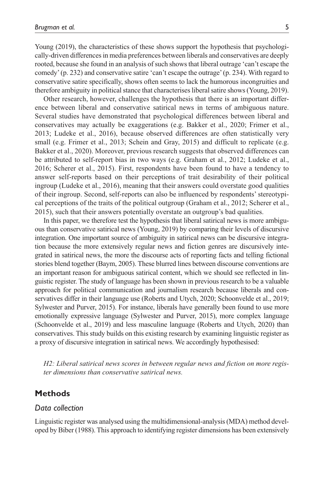Young (2019), the characteristics of these shows support the hypothesis that psychologically-driven differences in media preferences between liberals and conservatives are deeply rooted, because she found in an analysis of such shows that liberal outrage 'can't escape the comedy' (p. 232) and conservative satire 'can't escape the outrage' (p. 234). With regard to conservative satire specifically, shows often seems to lack the humorous incongruities and therefore ambiguity in political stance that characterises liberal satire shows (Young, 2019).

Other research, however, challenges the hypothesis that there is an important difference between liberal and conservative satirical news in terms of ambiguous nature. Several studies have demonstrated that psychological differences between liberal and conservatives may actually be exaggerations (e.g. Bakker et al., 2020; Frimer et al., 2013; Ludeke et al., 2016), because observed differences are often statistically very small (e.g. Frimer et al., 2013; Schein and Gray, 2015) and difficult to replicate (e.g. Bakker et al., 2020). Moreover, previous research suggests that observed differences can be attributed to self-report bias in two ways (e.g. Graham et al., 2012; Ludeke et al., 2016; Scherer et al., 2015). First, respondents have been found to have a tendency to answer self-reports based on their perceptions of trait desirability of their political ingroup (Ludeke et al., 2016), meaning that their answers could overstate good qualities of their ingroup. Second, self-reports can also be influenced by respondents' stereotypical perceptions of the traits of the political outgroup (Graham et al., 2012; Scherer et al., 2015), such that their answers potentially overstate an outgroup's bad qualities.

In this paper, we therefore test the hypothesis that liberal satirical news is more ambiguous than conservative satirical news (Young, 2019) by comparing their levels of discursive integration. One important source of ambiguity in satirical news can be discursive integration because the more extensively regular news and fiction genres are discursively integrated in satirical news, the more the discourse acts of reporting facts and telling fictional stories blend together (Baym, 2005). These blurred lines between discourse conventions are an important reason for ambiguous satirical content, which we should see reflected in linguistic register. The study of language has been shown in previous research to be a valuable approach for political communication and journalism research because liberals and conservatives differ in their language use (Roberts and Utych, 2020; Schoonvelde et al., 2019; Sylwester and Purver, 2015). For instance, liberals have generally been found to use more emotionally expressive language (Sylwester and Purver, 2015), more complex language (Schoonvelde et al., 2019) and less masculine language (Roberts and Utych, 2020) than conservatives. This study builds on this existing research by examining linguistic register as a proxy of discursive integration in satirical news. We accordingly hypothesised:

*H2: Liberal satirical news scores in between regular news and fiction on more register dimensions than conservative satirical news.*

### **Methods**

### *Data collection*

Linguistic register was analysed using the multidimensional-analysis (MDA) method developed by Biber (1988). This approach to identifying register dimensions has been extensively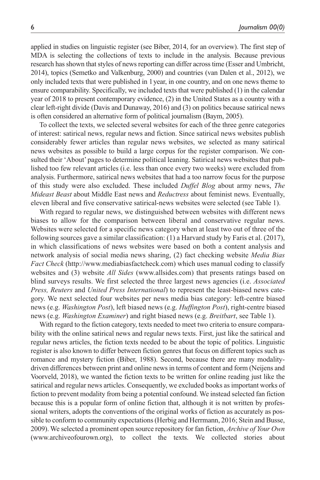applied in studies on linguistic register (see Biber, 2014, for an overview). The first step of MDA is selecting the collections of texts to include in the analysis. Because previous research has shown that styles of news reporting can differ across time (Esser and Umbricht, 2014), topics (Semetko and Valkenburg, 2000) and countries (van Dalen et al., 2012), we only included texts that were published in 1year, in one country, and on one news theme to ensure comparability. Specifically, we included texts that were published (1) in the calendar year of 2018 to present contemporary evidence, (2) in the United States as a country with a clear left-right divide (Davis and Dunaway, 2016) and (3) on politics because satirical news is often considered an alternative form of political journalism (Baym, 2005).

To collect the texts, we selected several websites for each of the three genre categories of interest: satirical news, regular news and fiction. Since satirical news websites publish considerably fewer articles than regular news websites, we selected as many satirical news websites as possible to build a large corpus for the register comparison. We consulted their 'About' pages to determine political leaning. Satirical news websites that published too few relevant articles (i.e. less than once every two weeks) were excluded from analysis. Furthermore, satirical news websites that had a too narrow focus for the purpose of this study were also excluded. These included *Duffel Blog* about army news, *The Mideast Beast* about Middle East news and *Reductress* about feminist news. Eventually, eleven liberal and five conservative satirical-news websites were selected (see Table 1).

With regard to regular news, we distinguished between websites with different news biases to allow for the comparison between liberal and conservative regular news. Websites were selected for a specific news category when at least two out of three of the following sources gave a similar classification: (1) a Harvard study by Faris et al. (2017), in which classifications of news websites were based on both a content analysis and network analysis of social media news sharing, (2) fact checking website *Media Bias Fact Check* ([http://www.mediabiasfactcheck.com\)](http://www.mediabiasfactcheck.com) which uses manual coding to classify websites and (3) website *All Sides* ([www.allsides.com\)](www.allsides.com) that presents ratings based on blind surveys results. We first selected the three largest news agencies (i.e. *Associated Press, Reuters* and *United Press International*) to represent the least-biased news category. We next selected four websites per news media bias category: left-centre biased news (e.g. *Washington Post*), left biased news (e.g. *Huffington Post*), right-centre biased news (e.g. *Washington Examiner*) and right biased news (e.g. *Breitbart*, see Table 1).

With regard to the fiction category, texts needed to meet two criteria to ensure comparability with the online satirical news and regular news texts. First, just like the satirical and regular news articles, the fiction texts needed to be about the topic of politics. Linguistic register is also known to differ between fiction genres that focus on different topics such as romance and mystery fiction (Biber, 1988). Second, because there are many modalitydriven differences between print and online news in terms of content and form (Neijens and Voorveld, 2018), we wanted the fiction texts to be written for online reading just like the satirical and regular news articles. Consequently, we excluded books as important works of fiction to prevent modality from being a potential confound. We instead selected fan fiction because this is a popular form of online fiction that, although it is not written by professional writers, adopts the conventions of the original works of fiction as accurately as possible to conform to community expectations (Herbig and Herrmann, 2016; Stein and Busse, 2009). We selected a prominent open source repository for fan fiction, *Archive of Your Own* ([www.archiveofourown.org\)](www.archiveofourown.org), to collect the texts. We collected stories about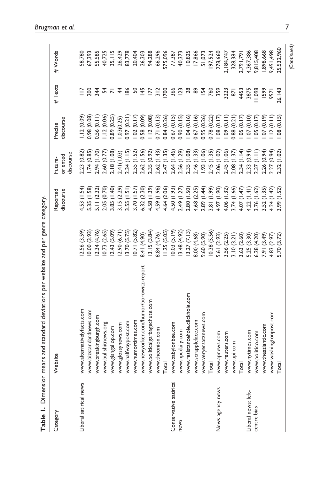|                        |                                         | 。<br>יַ<br>ב | こうしょ            |                |                                    |                |             |
|------------------------|-----------------------------------------|--------------|-----------------|----------------|------------------------------------|----------------|-------------|
| Category               | Website                                 |              | Reported        | Future-        | Precise                            | #Texts         | #Words      |
|                        |                                         |              | discourse       | oriented       | discourse                          |                |             |
|                        |                                         |              |                 | discourse      |                                    |                |             |
| Liberal satirical news | www.alternativelyfacts.com              | 2.56 (3.59)  | 4.53 (1.54)     | 2.23 (0.82)    | .12(0.09)                          |                | 58,780      |
|                        | www.bizstandardnews.com                 | 0.00 (3.93)  | 5.35 (1.58)     | 1.74(0.85)     | 0.00 86                            | 200            | 67,393      |
|                        | www.breakingburgh.com                   | 2.34 (4.76)  | 5.11(2.32)      | 2.94 (1.70)    | 0.56(0.11)                         | 344            | 55,585      |
|                        | www.bullshitnews.org                    | 0.73 (2.65)  | 2.05 (0.70)     | 2.60 (0.77     | 1.12(0.06)                         | 54             | 40,725      |
|                        | www.gishgallop.com                      | 2.43 (5.09)  | 3.85 (1.40)     | 2.18(1.08)     | 0.89 (0.25)                        | $\overline{N}$ | 35, 115     |
|                        | www.glossynews.com                      | 2.90(6.71)   | 3.15(2.29)      | 2.41(1.03)     | 1.03(0.25)                         | $\frac{4}{3}$  | 26,429      |
|                        | www.halfwaypost.com                     | 3.70 (5.75)  | 3.55(1.51)      | 2.34(1.15)     | 0.97(0.21)                         | $\frac{86}{6}$ | 83,778      |
|                        | www.humortimes.com                      | 0.71(5.82)   | 3.70 (1.57)     | 2.55 (1.52)    | 1.02(0.17)                         | SO             | 20,404      |
|                        | www.newyorker.com/humor/borowitz-report | 8.41 (4.90)  | 6.32 (2.30)     | 2.62 (1.56)    | 0.58(0.09)                         | $\frac{45}{5}$ | 26,303      |
|                        | www.politicalgarbagechute.com           | 3.15(3.84)   | 4.58(1.39)      | 2.35 (0.92)    | 1.12(0.08)                         | Ε              | 94,288      |
|                        | www.theonion.com                        | 8.84 (4.76)  | 4.59 (1.96)     | 2.62(1.43)     | 0.71(0.13)                         | $\frac{2}{3}$  | 66,296      |
|                        | Total                                   | 1.25(5.05)   | 4.64 (2.06)     | 2.47(1.35)     | 0.84(0.26)                         | 700            | 575,096     |
| Conservative satirical | www.babylonbee.com                      | 0.03(5.19)   | (1.93)          | 2.64 (1.46)    | 0.67(0.15)                         | 366            | 77,387      |
| news                   | www.npcdaily.com                        | 3.48 (4.92)  | 2.49 (1.27)     | 2.56 (1.29)    | 0.90(0.15)                         | 123            | 40,373      |
|                        | www.resistancehole.clickhole.com        | 13.27 (7.13) | 2.80(1.50)      | 2.35(1.08)     | 1.04(0.16)                         | 28             | 10,825      |
|                        | www.scrappleface.com                    | 8.00 (4.68)  | 4.68 (2.25)     | 2.46 (1.33)    | 0.67(0.16)                         | 8              | 17,866      |
|                        | www.veryersatznews.com                  | 9.60 (5.90)  | 2.89 (1.44)     | (93(1.06)      | 0.95(0.26)                         | <b>154</b>     | 51,073      |
|                        | Total                                   | (0.38(5.56)  | (1.99)<br>3.81  | 2.45(1.35)     | 0.78 (0.22)                        | 760            | 197,524     |
| News agency news       | www.apnews.com                          | 5.61 (2.93)  | 4.97 (1.90)     | 2.06 (1.02)    | 1.08(0.17)                         | 359            | 278,660     |
|                        | www.reuters.com                         | 3.56 (2.25)  | 4.06(1.32)      | 2.45 (1.06)    | $(1109)$ (0.11)                    | 3223           | 2,184,747   |
|                        | www.upi.com                             | 3.10(3.21)   | 3.74 (1.66)     | 2.08 (1.37)    | 0.88(0.21)                         | $\overline{5}$ | 328,384     |
|                        | Total                                   | 3.63 (2.60)  | (1.47)<br>4.07  | (1.14)<br>2.34 | .05(0.17)                          | 4453           | 2,791,791   |
| Liberal news: left-    | www.nytimes.com                         | 5.25 (3.30)  | (1.41)<br>4.22  | (0.94)<br>2.33 | $0.10$ (0.10)                      | 3875           | 4,367,386   |
| centre bias            | www.politico.com                        | 6.28 (4.20)  | (1.62)<br>3.76( | (1.1)<br>2.37  | .05(0.17)                          | 1,098          | 9,815,408   |
|                        | www.theatlantic.com                     | (3.49)       | (1.35)<br>3.52( | (0.94)<br>2.26 | $(610)$ $\Omega$ .                 | 1599<br>9571   | ,898,668    |
|                        | www.washingtonpost.com                  | 4.83(2.97)   | (1.42)<br>4.24  | (0.94)<br>2.27 | .12(0.11)                          |                | 9,451,498   |
|                        | Total                                   | 5.70 (3.72)  | (1.52)<br>3.99  | (1.02)<br>2.32 | (0.15)<br>$\overset{\circ}{\circ}$ | 26, 143        | 25,532,960  |
|                        |                                         |              |                 |                |                                    |                | (Continued) |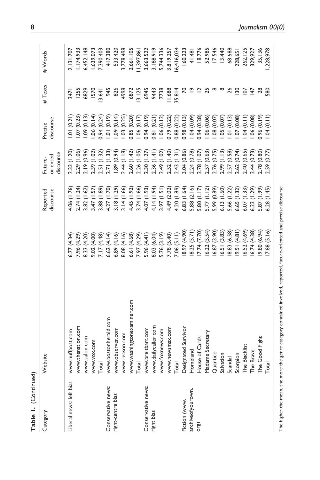| <b>Table 1.</b> (Continued) |                                                                                                                       |             |                       |                                           |                      |                 |             |
|-----------------------------|-----------------------------------------------------------------------------------------------------------------------|-------------|-----------------------|-------------------------------------------|----------------------|-----------------|-------------|
| Category                    | ebsite<br>≥                                                                                                           |             | discourse<br>Reported | discourse<br>oriented<br>Future-          | discourse<br>Precise | #Texts          | #Words      |
| Liberal news: left bias     | www.huffpost.com                                                                                                      | 5.77(4.34)  | 4.06 (1.76)           | 2.33 (1.20)                               | .01(0.21)            | 347             | 2, 131, 707 |
|                             | www.thenation.com                                                                                                     | 7.96 (4.29) | 2.74(1.24)            | 2.29 (1.06)                               | .07(0.23)            | <b>1255</b>     | 1, 174, 933 |
|                             | www.salon.com                                                                                                         | 8.33 (4.20) | 3.82(1.62)            | 2.19 (0.96)                               | .09(0.13)            | 6829            | 6,452,148   |
|                             | www.vox.com                                                                                                           | 9.02 (4.00) | 3.47(1.57)            |                                           | .06(0.14)            | I570            | ,639,073    |
|                             | Total                                                                                                                 | 7.17 (4.48) | 3.88 (1.89)           | 2.39 (1.02)<br>2.51 (1.32)<br>2.71 (1.33) | 0.94(0.24)           | 3,641           | 7,390,403   |
| Conservative news:          | www.bostonherald.com                                                                                                  | 6.62(4.14)  | 4.27 (1.70)           |                                           | (0.19)               | 945             | 417,380     |
| right-centre bias           | www.observer.com                                                                                                      | 6.89(4.16)  | 3.18(1.29)            | 1.89(0.94)                                | (0.14)               | 826             | 533,420     |
|                             | www.reason.com                                                                                                        | 8.08 (4.16) | 3.14(1.66)            | 2.44(1.18)                                | .03(0.25)            | 4998            | 3,778,498   |
|                             | www.washingtonexaminer.com                                                                                            | 6.61 (4.68) | 4.45 (1.92)           | 2.60 (1.42)                               | 0.85 (0.20)          | 6872            | 2,661,105   |
|                             | Total                                                                                                                 | 7.97 (4.29) | 3.74(1.66)            | 2.26 (1.05)                               | 1.06(0.17)           | 3,125           | 11,397,86   |
| Conservative news:          | www.breitbart.com                                                                                                     | 5.96(4.41)  | 4.07 (1.93)           | 2.30(1.27)                                | $(61.0)$ +6 $(0.19)$ | 6945            | 3,663,522   |
| right bias                  | www.dailycaller.com                                                                                                   | 8.03 (6.04) | 4.14 (1.94)           | 2.36(1.41)                                | 0.81(0.21)           | 9443            | 3, 188, 919 |
|                             | www.foxnews.com                                                                                                       | 5.76 (3.19) | 3.97(1.51)            | 2.49 (1.02)                               | 1.06(0.12)           | 7738            | 5,744,336   |
|                             | www.newsmax.com                                                                                                       | 7.78 (5.40) | 4.49 (2.02)           | 2.52 (1.40)                               | 0.79 (0.22)          | 11,688          | 3,819,257   |
|                             | Total<br>Designated Survivor                                                                                          | 7.06(5.11)  | 4.20 (1.89)           | 2.43(1.31)                                | 0.88 (0.22)          | 35,814          | 6,416,034   |
| Fiction (www.               |                                                                                                                       | 8.97 (4.90) | 6.83(1.64)            | 3.04 (0.86)                               | $(51.0)$ 86'0        | 50              | 160,223     |
| archiveofyourown.           | Homeland<br>House of Cards                                                                                            | 8.25 (5.71) | 5.88 (2.16)           | 2.24 (0.78)                               | $(60.0)$ $\pm 0.1$   | ≏               | 41,481      |
| org)                        |                                                                                                                       | 7.74 (7.70) | 5.80 (1.17)           | 2.78 (1.07)                               | 0.94(0.28)           | ≃               | 18,776      |
|                             | Madame Secretary<br>Quantico<br>Salvation                                                                             | 6.22(5.54)  | 5.77(1.12)            | 2.57 (0.63)                               | .06(0.06)            | 25              | 52,985      |
|                             |                                                                                                                       | 6.87 (3.90) | 5.99 (0.89)           | 2.76 (0.75)                               | (0.07)               | $\infty$        | 17,546      |
|                             |                                                                                                                       | 6.51(3.83)  | 6.13(1.60)            | 2.99(1.13)                                | .05(0.07)            | œ               | 13,440      |
|                             | Scandal<br>Scorpion<br>The Blacklist                                                                                  | 8.83 (6.58) | 5.66 (1.22)           | 2.57 (0.58)                               | $(61.0)$ 10.         | 26              | 68,688      |
|                             |                                                                                                                       | 9.51(4.81)  | 6.65(1.32)            | 2.62(0.74)                                | .07(0.08)            | $\frac{8}{2}$   | 228,65      |
|                             |                                                                                                                       | 6.52(4.69)  | 6.07(1.33)            | 2.40 (0.65)                               | (110, 14)            | $\overline{5}$  | 262,125     |
|                             | The Brave                                                                                                             | 6.74(4.38)  | (1.29)<br>6.23(       | 2.44(0.73)                                | .06(0.08)            | 147             | 329,927     |
|                             | The Good Fight                                                                                                        | 9.80 (6.94) | 5.87 (1.99)           | 2.78 (0.80)                               | 0.96(0.19)           | $\overline{28}$ | 35,136      |
|                             | Total                                                                                                                 | 7.88 (5.16) | (1.45)<br>6.28        | 2.59 (0.77)                               | (110, 10)            | 580             | ,228,978    |
|                             | The higher the mean, the more the genre category contained involved, reported, future-oriented and precise discourse. |             |                       |                                           |                      |                 |             |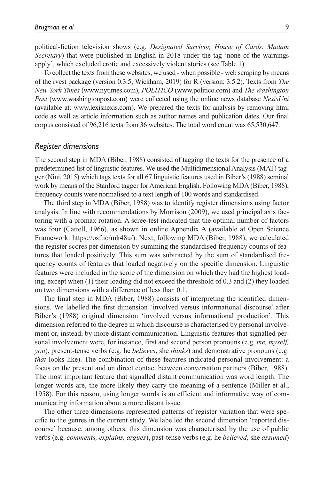political-fiction television shows (e.g. *Designated Survivor, House of Cards*, *Madam Secretary*) that were published in English in 2018 under the tag 'none of the warnings apply', which excluded erotic and excessively violent stories (see Table 1).

To collect the texts from these websites, we used - when possible - web scraping by means of the rvest package (version 0.3.5; Wickham, 2019) for R (version: 3.5.2). Texts from *The New York Times* [\(www.nytimes.com\)](www.nytimes.com), *POLITICO* [\(www.politico.com](www.politico.com)) and *The Washington Post* (<www.washingtonpost.com>) were collected using the online news database *NexisUni* (available at: [www.lexisnexis.com\)](www.lexisnexis.com). We prepared the texts for analysis by removing html code as well as article information such as author names and publication dates. Our final corpus consisted of 96,216 texts from 36 websites. The total word count was 65,530,647.

#### *Register dimensions*

The second step in MDA (Biber, 1988) consisted of tagging the texts for the presence of a predetermined list of linguistic features. We used the Multidimensional Analysis (MAT) tagger (Nini, 2015) which tags texts for all 67 linguistic features used in Biber's (1988) seminal work by means of the Stanford tagger for American English. Following MDA (Biber, 1988), frequency counts were normalised to a text length of 100 words and standardised.

The third step in MDA (Biber, 1988) was to identify register dimensions using factor analysis. In line with recommendations by Morrison (2009), we used principal axis factoring with a promax rotation. A scree-test indicated that the optimal number of factors was four (Cattell, 1966), as shown in online Appendix A (available at Open Science Framework: [https://osf.io/mk48u/\)](https://osf.io/mk48u/). Next, following MDA (Biber, 1988), we calculated the register scores per dimension by summing the standardised frequency counts of features that loaded positively. This sum was subtracted by the sum of standardised frequency counts of features that loaded negatively on the specific dimension. Linguistic features were included in the score of the dimension on which they had the highest loading, except when (1) their loading did not exceed the threshold of 0.3 and (2) they loaded on two dimensions with a difference of less than 0.1.

The final step in MDA (Biber, 1988) consists of interpreting the identified dimensions. We labelled the first dimension 'involved versus informational discourse' after Biber's (1988) original dimension 'involved versus informational production'. This dimension referred to the degree in which discourse is characterised by personal involvement or, instead, by more distant communication. Linguistic features that signalled personal involvement were, for instance, first and second person pronouns (e.g. *me, myself, you*), present-tense verbs (e.g. he *believes*, she *thinks*) and demonstrative pronouns (e.g. *that* looks like). The combination of these features indicated personal involvement: a focus on the present and on direct contact between conversation partners (Biber, 1988). The most important feature that signalled distant communication was word length. The longer words are, the more likely they carry the meaning of a sentence (Miller et al., 1958). For this reason, using longer words is an efficient and informative way of communicating information about a more distant issue.

The other three dimensions represented patterns of register variation that were specific to the genres in the current study. We labelled the second dimension 'reported discourse' because, among others, this dimension was characterised by the use of public verbs (e.g. *comments, explains, argues*), past-tense verbs (e.g. he *believed*, she *assumed*)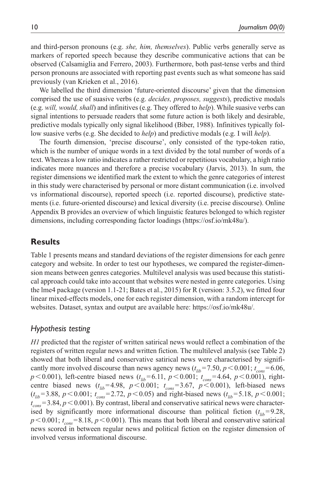and third-person pronouns (e.g. *she, him, themselves*). Public verbs generally serve as markers of reported speech because they describe communicative actions that can be observed (Calsamiglia and Ferrero, 2003). Furthermore, both past-tense verbs and third person pronouns are associated with reporting past events such as what someone has said previously (van Krieken et al., 2016).

We labelled the third dimension 'future-oriented discourse' given that the dimension comprised the use of suasive verbs (e.g. *decides, proposes, suggests*), predictive modals (e.g. *will, would, shall*) and infinitives (e.g. They offered to *help*). While suasive verbs can signal intentions to persuade readers that some future action is both likely and desirable, predictive modals typically only signal likelihood (Biber, 1988). Infinitives typically follow suasive verbs (e.g. She decided to *help*) and predictive modals (e.g. I will *help*).

The fourth dimension, 'precise discourse', only consisted of the type-token ratio, which is the number of unique words in a text divided by the total number of words of a text. Whereas a low ratio indicates a rather restricted or repetitious vocabulary, a high ratio indicates more nuances and therefore a precise vocabulary (Jarvis, 2013). In sum, the register dimensions we identified mark the extent to which the genre categories of interest in this study were characterised by personal or more distant communication (i.e. involved vs informational discourse), reported speech (i.e. reported discourse), predictive statements (i.e. future-oriented discourse) and lexical diversity (i.e. precise discourse). Online Appendix B provides an overview of which linguistic features belonged to which register dimensions, including corresponding factor loadings [\(https://osf.io/mk48u/\)](https://osf.io/mk48u/).

### **Results**

Table 1 presents means and standard deviations of the register dimensions for each genre category and website. In order to test our hypotheses, we compared the register-dimension means between genres categories. Multilevel analysis was used because this statistical approach could take into account that websites were nested in genre categories. Using the lme4 package (version 1.1-21; Bates et al., 2015) for R (version: 3.5.2), we fitted four linear mixed-effects models, one for each register dimension, with a random intercept for websites. Dataset, syntax and output are available here: [https://osf.io/mk48u/.](https://osf.io/mk48u/)

### *Hypothesis testing*

*H1* predicted that the register of written satirical news would reflect a combination of the registers of written regular news and written fiction. The multilevel analysis (see Table 2) showed that both liberal and conservative satirical news were characterised by significantly more involved discourse than news agency news  $(t_{lib} = 7.50, p \le 0.001; t_{cons} = 6.06,$  $p$ <0.001), left-centre biased news ( $t_{lib}$ =6.11,  $p$ <0.001;  $t_{cons}$ =4.64,  $p$ <0.001), rightcentre biased news  $(t_{lib} = 4.98, p < 0.001; t_{cons} = 3.67, p < 0.001)$ , left-biased news  $(t_{lib} = 3.88, p \le 0.001; t_{cons} = 2.72, p \le 0.05)$  and right-biased news  $(t_{lib} = 5.18, p \le 0.001;$  $t_{cons}$  = 3.84,  $p$  < 0.001). By contrast, liberal and conservative satirical news were characterised by significantly more informational discourse than political fiction  $(t_{lib} = 9.28,$  $p \le 0.001$ ;  $t_{cons} = 8.18$ ,  $p \le 0.001$ ). This means that both liberal and conservative satirical news scored in between regular news and political fiction on the register dimension of involved versus informational discourse.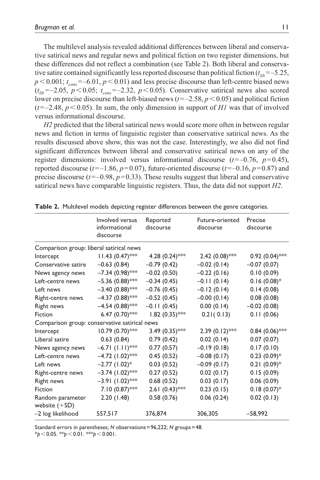The multilevel analysis revealed additional differences between liberal and conservative satirical news and regular news and political fiction on two register dimensions, but these differences did not reflect a combination (see Table 2). Both liberal and conservative satire contained significantly less reported discourse than political fiction (*t lib*=–5.25,  $p \le 0.001$ ;  $t_{cons} = -6.01$ ,  $p \le 0.01$ ) and less precise discourse than left-centre biased news  $(t<sub>lib</sub>=-2.05, p<0.05; t<sub>cons</sub>=-2.32, p<0.05)$ . Conservative satirical news also scored lower on precise discourse than left-biased news (*t*=–2.58, *p*<0.05) and political fiction  $(t=-2.48, p<0.05)$ . In sum, the only dimension in support of *H1* was that of involved versus informational discourse.

*H2* predicted that the liberal satirical news would score more often in between regular news and fiction in terms of linguistic register than conservative satirical news. As the results discussed above show, this was not the case. Interestingly, we also did not find significant differences between liberal and conservative satirical news on any of the register dimensions: involved versus informational discourse  $(t=-0.76, p=0.45)$ , reported discourse ( $t=-1.86$ ,  $p=0.07$ ), future-oriented discourse ( $t=-0.16$ ,  $p=0.87$ ) and precise discourse  $(t=-0.98, p=0.33)$ . These results suggest that liberal and conservative satirical news have comparable linguistic registers. Thus, the data did not support *H2*.

|                                               | Involved versus<br>informational<br>discourse | Reported<br>discourse | Future-oriented<br>discourse | Precise<br>discourse |
|-----------------------------------------------|-----------------------------------------------|-----------------------|------------------------------|----------------------|
| Comparison group: liberal satirical news      |                                               |                       |                              |                      |
| Intercept                                     | $11.43 (0.47)$ ***                            | 4.28 $(0.24)$ ***     | $2.42(0.08)$ ***             | $0.92$ $(0.04)$ ***  |
| Conservative satire                           | $-0.63(0.84)$                                 | $-0.79(0.42)$         | $-0.02(0.14)$                | $-0.07(0.07)$        |
| News agency news                              | $-7.34(0.98)$ ***                             | $-0.02(0.50)$         | $-0.22(0.16)$                | 0.10(0.09)           |
| Left-centre news                              | $-5.36(0.88)$ ***                             | $-0.34(0.45)$         | $-0.11(0.14)$                | $0.16(0.08)*$        |
| Left news                                     | $-3.40(0.88)$ ***                             | $-0.76(0.45)$         | $-0.12(0.14)$                | 0.14(0.08)           |
| Right-centre news                             | $-4.37(0.88)$ ***                             | $-0.52(0.45)$         | $-0.00$ (0.14)               | 0.08(0.08)           |
| Right news                                    | $-4.54(0.88)$ ***                             | $-0.11(0.45)$         | 0.00(0.14)                   | $-0.02(0.08)$        |
| Fiction                                       | 6.47 $(0.70)$ ***                             | $1.82 (0.35)$ ***     | 0.21(0.13)                   | 0.11(0.06)           |
| Comparison group: conservative satirical news |                                               |                       |                              |                      |
| Intercept                                     | $10.79(0.70)$ ***                             | 3.49 $(0.35)$ ***     | $2.39(0.12)$ ***             | $0.84(0.06)$ ***     |
| Liberal satire                                | 0.63(0.84)                                    | 0.79(0.42)            | 0.02(0.14)                   | 0.07(0.07)           |
| News agency news                              | $-6.71$ (1.11)***                             | 0.77(0.57)            | $-0.19(0.18)$                | 0.17(0.10)           |
| Left-centre news                              | $-4.72$ (1.02)***                             | 0.45(0.52)            | $-0.08(0.17)$                | $0.23(0.09)*$        |
| Left news                                     | $-2.77$ (1.02) <sup>*</sup>                   | 0.03(0.52)            | $-0.09(0.17)$                | $0.21(0.09)*$        |
| Right-centre news                             | $-3.74$ (1.02)***                             | 0.27(0.52)            | 0.02(0.17)                   | 0.15(0.09)           |
| <b>Right news</b>                             | $-3.91(1.02)$ ***                             | 0.68(0.52)            | 0.03(0.17)                   | 0.06(0.09)           |
| Fiction                                       | $7.10(0.87)$ ***                              | 2.61 $(0.43)$ ***     | 0.23(0.15)                   | $0.18(0.07)*$        |
| Random parameter<br>website $(+SD)$           | 2.20(1.48)                                    | 0.58(0.76)            | 0.06(0.24)                   | 0.02(0.13)           |
| -2 log likelihood                             | 557,517                                       | 376,874               | 306,305                      | $-58,992$            |

**Table 2.** Multilevel models depicting register differences between the genre categories.

Standard errors in parentheses; *N* observations=96,222; *N* groups=48.

\**p*<0.05. \*\**p*<0.01. \*\*\**p*<0.001.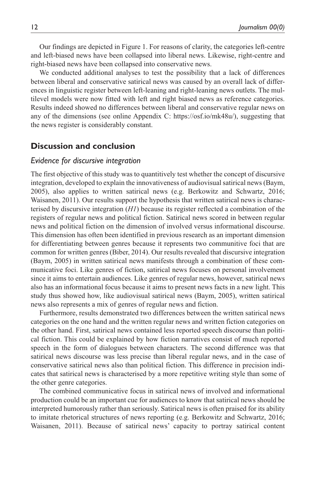Our findings are depicted in Figure 1. For reasons of clarity, the categories left-centre and left-biased news have been collapsed into liberal news. Likewise, right-centre and right-biased news have been collapsed into conservative news.

We conducted additional analyses to test the possibility that a lack of differences between liberal and conservative satirical news was caused by an overall lack of differences in linguistic register between left-leaning and right-leaning news outlets. The multilevel models were now fitted with left and right biased news as reference categories. Results indeed showed no differences between liberal and conservative regular news on any of the dimensions (see online Appendix C: [https://osf.io/mk48u/\)](https://osf.io/mk48u/), suggesting that the news register is considerably constant.

### **Discussion and conclusion**

### *Evidence for discursive integration*

The first objective of this study was to quantitively test whether the concept of discursive integration, developed to explain the innovativeness of audiovisual satirical news (Baym, 2005), also applies to written satirical news (e.g. Berkowitz and Schwartz, 2016; Waisanen, 2011). Our results support the hypothesis that written satirical news is characterised by discursive integration (*H1*) because its register reflected a combination of the registers of regular news and political fiction. Satirical news scored in between regular news and political fiction on the dimension of involved versus informational discourse. This dimension has often been identified in previous research as an important dimension for differentiating between genres because it represents two communitive foci that are common for written genres (Biber, 2014). Our results revealed that discursive integration (Baym, 2005) in written satirical news manifests through a combination of these communicative foci. Like genres of fiction, satirical news focuses on personal involvement since it aims to entertain audiences. Like genres of regular news, however, satirical news also has an informational focus because it aims to present news facts in a new light. This study thus showed how, like audiovisual satirical news (Baym, 2005), written satirical news also represents a mix of genres of regular news and fiction.

Furthermore, results demonstrated two differences between the written satirical news categories on the one hand and the written regular news and written fiction categories on the other hand. First, satirical news contained less reported speech discourse than political fiction. This could be explained by how fiction narratives consist of much reported speech in the form of dialogues between characters. The second difference was that satirical news discourse was less precise than liberal regular news, and in the case of conservative satirical news also than political fiction. This difference in precision indicates that satirical news is characterised by a more repetitive writing style than some of the other genre categories.

The combined communicative focus in satirical news of involved and informational production could be an important cue for audiences to know that satirical news should be interpreted humorously rather than seriously. Satirical news is often praised for its ability to imitate rhetorical structures of news reporting (e.g. Berkowitz and Schwartz, 2016; Waisanen, 2011). Because of satirical news' capacity to portray satirical content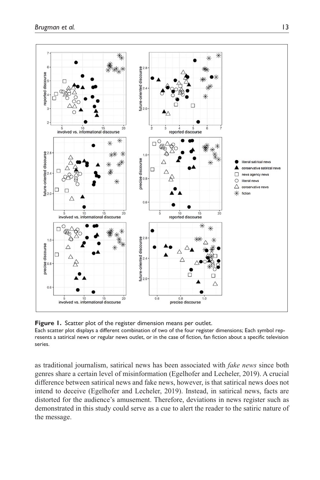

Figure 1. Scatter plot of the register dimension means per outlet. Each scatter plot displays a different combination of two of the four register dimensions; Each symbol represents a satirical news or regular news outlet, or in the case of fiction, fan fiction about a specific television series.

as traditional journalism, satirical news has been associated with *fake news* since both genres share a certain level of misinformation (Egelhofer and Lecheler, 2019). A crucial difference between satirical news and fake news, however, is that satirical news does not intend to deceive (Egelhofer and Lecheler, 2019). Instead, in satirical news, facts are distorted for the audience's amusement. Therefore, deviations in news register such as demonstrated in this study could serve as a cue to alert the reader to the satiric nature of the message.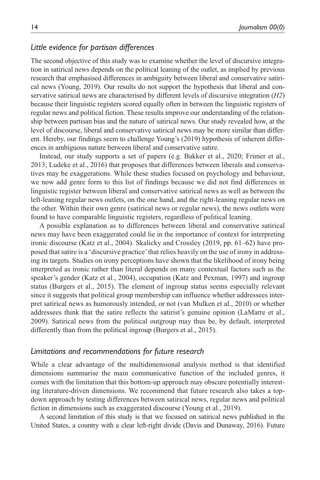### *Little evidence for partisan differences*

The second objective of this study was to examine whether the level of discursive integration in satirical news depends on the political leaning of the outlet, as implied by previous research that emphasised differences in ambiguity between liberal and conservative satirical news (Young, 2019). Our results do not support the hypothesis that liberal and conservative satirical news are characterised by different levels of discursive integration (*H2*) because their linguistic registers scored equally often in between the linguistic registers of regular news and political fiction. These results improve our understanding of the relationship between partisan bias and the nature of satirical news. Our study revealed how, at the level of discourse, liberal and conservative satirical news may be more similar than different. Hereby, our findings seem to challenge Young's (2019) hypothesis of inherent differences in ambiguous nature between liberal and conservative satire.

Instead, our study supports a set of papers (e.g. Bakker et al., 2020; Frimer et al., 2013; Ludeke et al., 2016) that proposes that differences between liberals and conservatives may be exaggerations. While these studies focused on psychology and behaviour, we now add genre form to this list of findings because we did not find differences in linguistic register between liberal and conservative satirical news as well as between the left-leaning regular news outlets, on the one hand, and the right-leaning regular news on the other. Within their own genre (satirical news or regular news), the news outlets were found to have comparable linguistic registers, regardless of political leaning.

A possible explanation as to differences between liberal and conservative satirical news may have been exaggerated could lie in the importance of context for interpreting ironic discourse (Katz et al., 2004). Skalicky and Crossley (2019, pp. 61–62) have proposed that satire is a 'discursive practice' that relies heavily on the use of irony in addressing its targets. Studies on irony perceptions have shown that the likelihood of irony being interpreted as ironic rather than literal depends on many contextual factors such as the speaker's gender (Katz et al., 2004), occupation (Katz and Pexman, 1997) and ingroup status (Burgers et al., 2015). The element of ingroup status seems especially relevant since it suggests that political group membership can influence whether addressees interpret satirical news as humorously intended, or not (van Mulken et al., 2010) or whether addressees think that the satire reflects the satirist's genuine opinion (LaMarre et al., 2009). Satirical news from the political outgroup may thus be, by default, interpreted differently than from the political ingroup (Burgers et al., 2015).

### *Limitations and recommendations for future research*

While a clear advantage of the multidimensional analysis method is that identified dimensions summarise the main communicative function of the included genres, it comes with the limitation that this bottom-up approach may obscure potentially interesting literature-driven dimensions. We recommend that future research also takes a topdown approach by testing differences between satirical news, regular news and political fiction in dimensions such as exaggerated discourse (Young et al., 2019).

A second limitation of this study is that we focused on satirical news published in the United States, a country with a clear left-right divide (Davis and Dunaway, 2016). Future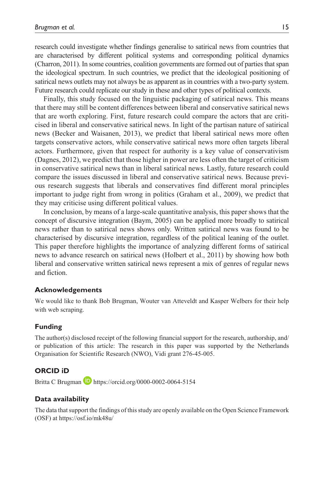research could investigate whether findings generalise to satirical news from countries that are characterised by different political systems and corresponding political dynamics (Charron, 2011). In some countries, coalition governments are formed out of parties that span the ideological spectrum. In such countries, we predict that the ideological positioning of satirical news outlets may not always be as apparent as in countries with a two-party system. Future research could replicate our study in these and other types of political contexts.

Finally, this study focused on the linguistic packaging of satirical news. This means that there may still be content differences between liberal and conservative satirical news that are worth exploring. First, future research could compare the actors that are criticised in liberal and conservative satirical news. In light of the partisan nature of satirical news (Becker and Waisanen, 2013), we predict that liberal satirical news more often targets conservative actors, while conservative satirical news more often targets liberal actors. Furthermore, given that respect for authority is a key value of conservativism (Dagnes, 2012), we predict that those higher in power are less often the target of criticism in conservative satirical news than in liberal satirical news. Lastly, future research could compare the issues discussed in liberal and conservative satirical news. Because previous research suggests that liberals and conservatives find different moral principles important to judge right from wrong in politics (Graham et al., 2009), we predict that they may criticise using different political values.

In conclusion, by means of a large-scale quantitative analysis, this paper shows that the concept of discursive integration (Baym, 2005) can be applied more broadly to satirical news rather than to satirical news shows only. Written satirical news was found to be characterised by discursive integration, regardless of the political leaning of the outlet. This paper therefore highlights the importance of analyzing different forms of satirical news to advance research on satirical news (Holbert et al., 2011) by showing how both liberal and conservative written satirical news represent a mix of genres of regular news and fiction.

#### **Acknowledgements**

We would like to thank Bob Brugman, Wouter van Atteveldt and Kasper Welbers for their help with web scraping.

#### **Funding**

The author(s) disclosed receipt of the following financial support for the research, authorship, and/ or publication of this article: The research in this paper was supported by the Netherlands Organisation for Scientific Research (NWO), Vidi grant 276-45-005.

#### **ORCID iD**

Britta C Brugman D <https://orcid.org/0000-0002-0064-5154>

#### **Data availability**

The data that support the findings of this study are openly available on the Open Science Framework (OSF) at <https://osf.io/mk48u/>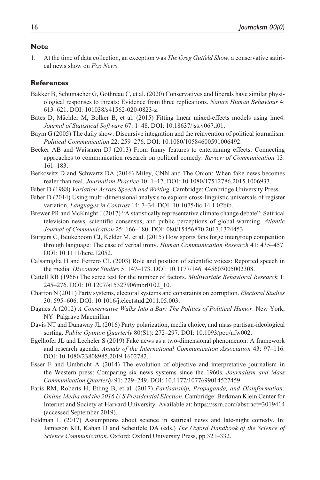#### **Note**

1. At the time of data collection, an exception was *The Greg Gutfeld Show*, a conservative satirical news show on *Fox News*.

### **References**

- Bakker B, Schumacher G, Gothreau C, et al. (2020) Conservatives and liberals have similar physiological responses to threats: Evidence from three replications. *Nature Human Behaviour* 4: 613–621. DOI: 101038/s41562-020-0823-z.
- Bates D, Mächler M, Bolker B, et al. (2015) Fitting linear mixed-effects models using lme4. *Journal of Statistical Software* 67: 1–48. DOI: 10.18637/jss.v067.i01.
- Baym G (2005) The daily show: Discursive integration and the reinvention of political journalism. *Political Communication* 22: 259–276. DOI: 10.1080/10584600591006492.
- Becker AB and Waisanen DJ (2013) From funny features to entertaining effects: Connecting approaches to communication research on political comedy. *Review of Communication* 13: 161–183.
- Berkowitz D and Schwartz DA (2016) Miley, CNN and The Onion: When fake news becomes realer than real. *Journalism Practice* 10: 1–17. DOI: 10.1080/17512786.2015.1006933.
- Biber D (1988) *Variation Across Speech and Writing*. Cambridge: Cambridge University Press.
- Biber D (2014) Using multi-dimensional analysis to explore cross-linguistic universals of register variation. *Languages in Contrast* 14: 7–34. DOI: 10.1075/lic.14.1.02bib.
- Brewer PR and McKnight J (2017) "A statistically representative climate change debate": Satirical television news, scientific consensus, and public perceptions of global warming. *Atlantic Journal of Communication* 25: 166–180. DOI: 080/15456870.2017.1324453.
- Burgers C, Beukeboom CJ, Kelder M, et al. (2015) How sports fans forge intergroup competition through language: The case of verbal irony. *Human Communication Research* 41: 435–457. DOI: 10.1111/hcre.12052.
- Calsamiglia H and Ferrero CL (2003) Role and position of scientific voices: Reported speech in the media. *Discourse Studies* 5: 147–173. DOI: 10.1177/1461445603005002308.
- Cattell RB (1966) The scree test for the number of factors. *Multivariate Behavioral Research* 1: 245–276. DOI: 10.1207/s15327906mbr0102\_10.
- Charron N (2011) Party systems, electoral systems and constraints on corruption. *Electoral Studies* 30: 595–606. DOI: 10.1016/j.electstud.2011.05.003.
- Dagnes A (2012) *A Conservative Walks Into a Bar: The Politics of Political Humor*. New York, NY: Palgrave Macmillan.
- Davis NT and Dunaway JL (2016) Party polarization, media choice, and mass partisan-ideological sorting. *Public Opinion Quarterly* 80(S1): 272–297. DOI: 10.1093/poq/nfw002.
- Egelhofer JL and Lecheler S (2019) Fake news as a two-dimensional phenomenon: A framework and research agenda. *Annals of the International Communication Association* 43: 97–116. DOI: 10.1080/23808985.2019.1602782.
- Esser F and Umbricht A (2014) The evolution of objective and interpretative journalism in the Western press: Comparing six news systems since the 1960s. *Journalism and Mass Communication Quarterly* 91: 229–249. DOI: 10.1177/1077699014527459.
- Faris RM, Roberts H, Etling B, et al. (2017) *Partisanship, Propaganda, and Disinformation: Online Media and the 2016 U.S Presidential Election*. Cambridge: Berkman Klein Center for Internet and Society at Harvard University. Available at:<https://ssrn.com/abstract=3019414> (accessed September 2019).
- Feldman L (2017) Assumptions about science in satirical news and late-night comedy. In: Jamieson KH, Kahan D and Scheufele DA (eds.) *The Oxford Handbook of the Science of Science Communication*. Oxford: Oxford University Press, pp.321–332.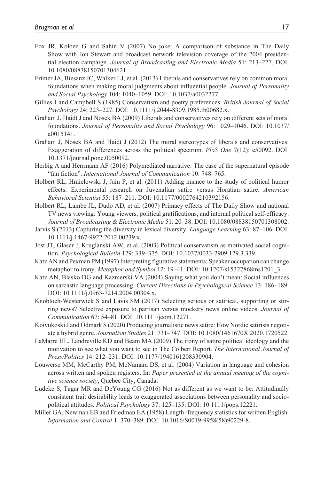- Fox JR, Koloen G and Sahin V (2007) No joke: A comparison of substance in The Daily Show with Jon Stewart and broadcast network television coverage of the 2004 presidential election campaign. *Journal of Broadcasting and Electronic Media* 51: 213–227. DOI: 10.1080/08838150701304621.
- Frimer JA, Biesanz JC, Walker LJ, et al. (2013) Liberals and conservatives rely on common moral foundations when making moral judgments about influential people. *Journal of Personality and Social Psychology* 104: 1040–1059. DOI: 10.1037/a0032277.
- Gillies J and Campbell S (1985) Conservatism and poetry preferences. *British Journal of Social Psychology* 24: 223–227. DOI: 10.1111/j.2044-8309.1985.tb00682.x.
- Graham J, Haidt J and Nosek BA (2009) Liberals and conservatives rely on different sets of moral foundations. *Journal of Personality and Social Psychology* 96: 1029–1046. DOI: 10.1037/ a0015141.
- Graham J, Nosek BA and Haidt J (2012) The moral stereotypes of liberals and conservatives: Exaggeration of differences across the political spectrum. *PloS One* 7(12): e50092. DOI: 10.1371/journal.pone.0050092.
- Herbig A and Herrmann AF (2016) Polymediated narrative: The case of the supernatural episode "fan fiction". *International Journal of Communication* 10: 748–765.
- Holbert RL, Hmielowski J, Jain P, et al. (2011) Adding nuance to the study of political humor effects: Experimental research on Juvenalian satire versus Horatian satire. *American Behavioral Scientist* 55: 187–211. DOI: 10.1177/0002764210392156.
- Holbert RL, Lambe JL, Dudo AD, et al. (2007) Primacy effects of The Daily Show and national TV news viewing: Young viewers, political gratifications, and internal political self-efficacy. *Journal of Broadcasting & Electronic Media* 51: 20–38. DOI: 10.1080/08838150701308002.
- Jarvis S (2013) Capturing the diversity in lexical diversity. *Language Learning* 63: 87–106. DOI: 10.1111/j.1467-9922.2012.00739.x.
- Jost JT, Glaser J, Kruglanski AW, et al. (2003) Political conservatism as motivated social cognition. *Psychological Bulletin* 129: 339–375. DOI: 10.1037/0033-2909.129.3.339.
- Katz AN and Pexman PM (1997) Interpreting figurative statements: Speaker occupation can change metaphor to irony. *Metaphor and Symbol* 12: 19–41. DOI: 10.1207/s15327868ms1201\_3.
- Katz AN, Blasko DG and Kazmerski VA (2004) Saying what you don't mean: Social influences on sarcastic language processing. *Current Directions in Psychological Science* 13: 186–189. DOI: 10.1111/j.0963-7214.2004.00304.x.
- Knobloch-Westerwick S and Lavis SM (2017) Selecting serious or satirical, supporting or stirring news? Selective exposure to partisan versus mockery news online videos. *Journal of Communication* 67: 54–81. DOI: 10.1111/jcom.12271.
- Koivukoski J and Ödmark S (2020) Producing journalistic news satire: How Nordic satirists negotiate a hybrid genre. *Journalism Studies* 21: 731–747. DOI: 10.1080/1461670X.2020.1720522.
- LaMarre HL, Landreville KD and Beam MA (2009) The irony of satire political ideology and the motivation to see what you want to see in The Colbert Report. *The International Journal of Press/Politics* 14: 212–231. DOI: 10.1177/1940161208330904.
- Louwerse MM, McCarthy PM, McNamara DS, et al. (2004) Variation in language and cohesion across written and spoken registers. In: *Paper presented at the annual meeting of the cognitive science society*, Quebec City, Canada.
- Ludeke S, Tagar MR and DeYoung CG (2016) Not as different as we want to be: Attitudinally consistent trait desirability leads to exaggerated associations between personality and sociopolitical attitudes. *Political Psychology* 37: 125–135. DOI: 10.1111/pops.12221.
- Miller GA, Newman EB and Friedman EA (1958) Length–frequency statistics for written English. *Information and Control* 1: 370–389. DOI: 10.1016/S0019-9958(58)90229-8.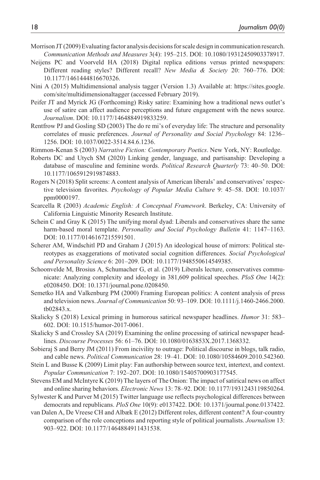- Morrison JT (2009) Evaluating factor analysis decisions for scale design in communication research. *Communication Methods and Measures* 3(4): 195–215. DOI: 10.1080/19312450903378917.
- Neijens PC and Voorveld HA (2018) Digital replica editions versus printed newspapers: Different reading styles? Different recall? *New Media & Society* 20: 760–776. DOI: 10.1177/1461444816670326.
- Nini A (2015) Multidimensional analysis tagger (Version 1.3) Available at: [https://sites.google.](https://sites.google.com/site/multidimensionaltagger) [com/site/multidimensionaltagger](https://sites.google.com/site/multidimensionaltagger) (accessed February 2019).
- Peifer JT and Myrick JG (Forthcoming) Risky satire: Examining how a traditional news outlet's use of satire can affect audience perceptions and future engagement with the news source. *Journalism*. DOI: 10.1177/1464884919833259.
- Rentfrow PJ and Gosling SD (2003) The do re mi's of everyday life: The structure and personality correlates of music preferences. *Journal of Personality and Social Psychology* 84: 1236– 1256. DOI: 10.1037/0022-3514.84.6.1236.
- Rimmon-Kenan S (2003) *Narrative Fiction: Contemporary Poetics*. New York, NY: Routledge.
- Roberts DC and Utych SM (2020) Linking gender, language, and partisanship: Developing a database of masculine and feminine words. *Political Research Quarterly* 73: 40–50. DOI: 10.1177/1065912919874883.
- Rogers N (2018) Split screens: A content analysis of American liberals' and conservatives' respective television favorites. *Psychology of Popular Media Culture* 9: 45–58. DOI: 10.1037/ ppm0000197.
- Scarcella R (2003) *Academic English: A Conceptual Framework*. Berkeley, CA: University of California Linguistic Minority Research Institute.
- Schein C and Gray K (2015) The unifying moral dyad: Liberals and conservatives share the same harm-based moral template. *Personality and Social Psychology Bulletin* 41: 1147–1163. DOI: 10.1177/0146167215591501.
- Scherer AM, Windschitl PD and Graham J (2015) An ideological house of mirrors: Political stereotypes as exaggerations of motivated social cognition differences. *Social Psychological and Personality Science* 6: 201–209. DOI: 10.1177/1948550614549385.
- Schoonvelde M, Brosius A, Schumacher G, et al. (2019) Liberals lecture, conservatives communicate: Analyzing complexity and ideology in 381,609 political speeches. *PloS One* 14(2): e0208450. DOI: 10.1371/journal.pone.0208450.
- Semetko HA and Valkenburg PM (2000) Framing European politics: A content analysis of press and television news. *Journal of Communication* 50: 93–109. DOI: 10.1111/j.1460-2466.2000. tb02843.x.
- Skalicky S (2018) Lexical priming in humorous satirical newspaper headlines. *Humor* 31: 583– 602. DOI: 10.1515/humor-2017-0061.
- Skalicky S and Crossley SA (2019) Examining the online processing of satirical newspaper headlines. *Discourse Processes* 56: 61–76. DOI: 10.1080/0163853X.2017.1368332.
- Sobieraj S and Berry JM (2011) From incivility to outrage: Political discourse in blogs, talk radio, and cable news. *Political Communication* 28: 19–41. DOI: 10.1080/10584609.2010.542360.
- Stein L and Busse K (2009) Limit play: Fan authorship between source text, intertext, and context. *Popular Communication* 7: 192–207. DOI: 10.1080/15405700903177545.
- Stevens EM and McIntyre K (2019) The layers of The Onion: The impact of satirical news on affect and online sharing behaviors. *Electronic News* 13: 78–92. DOI: 10.1177/1931243119850264.
- Sylwester K and Purver M (2015) Twitter language use reflects psychological differences between democrats and republicans. *PloS One* 10(9): e0137422. DOI: 10.1371/journal.pone.0137422.
- van Dalen A, De Vreese CH and Albæk E (2012) Different roles, different content? A four-country comparison of the role conceptions and reporting style of political journalists. *Journalism* 13: 903–922. DOI: 10.1177/1464884911431538.